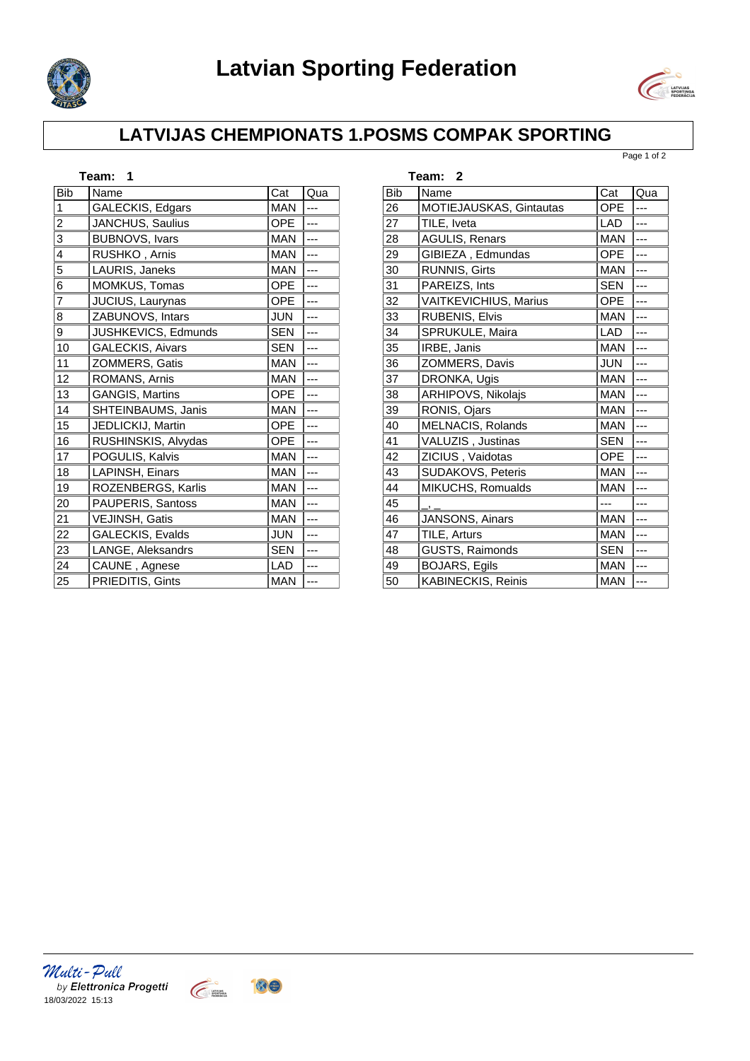



## **LATVIJAS CHEMPIONATS 1.POSMS COMPAK SPORTING**

Page 1 of 2

| Team:<br>1     |                         |            |     |  |  |  |
|----------------|-------------------------|------------|-----|--|--|--|
| <b>Bib</b>     | Name                    | Cat        | Qua |  |  |  |
| 1              | GALECKIS, Edgars        | <b>MAN</b> | --- |  |  |  |
| 2              | JANCHUS, Saulius        | OPE        |     |  |  |  |
| 3              | <b>BUBNOVS, Ivars</b>   | <b>MAN</b> |     |  |  |  |
| 4              | RUSHKO, Arnis           | <b>MAN</b> |     |  |  |  |
| 5              | LAURIS, Janeks          | <b>MAN</b> |     |  |  |  |
| 6              | MOMKUS, Tomas           | <b>OPE</b> | --- |  |  |  |
| $\overline{7}$ | JUCIUS, Laurynas        | <b>OPE</b> |     |  |  |  |
| 8              | ZABUNOVS, Intars        | <b>JUN</b> | --- |  |  |  |
| 9              | JUSHKEVICS, Edmunds     | <b>SEN</b> |     |  |  |  |
| 10             | <b>GALECKIS, Aivars</b> | <b>SEN</b> | --- |  |  |  |
| 11             | ZOMMERS, Gatis          | <b>MAN</b> | --- |  |  |  |
| 12             | ROMANS, Arnis           | <b>MAN</b> |     |  |  |  |
| 13             | <b>GANGIS, Martins</b>  | <b>OPE</b> |     |  |  |  |
| 14             | SHTEINBAUMS, Janis      | <b>MAN</b> |     |  |  |  |
| 15             | JEDLICKIJ, Martin       | OPE        | --- |  |  |  |
| 16             | RUSHINSKIS, Alvydas     | <b>OPE</b> |     |  |  |  |
| 17             | POGULIS, Kalvis         | <b>MAN</b> |     |  |  |  |
| 18             | LAPINSH, Einars         | <b>MAN</b> | --- |  |  |  |
| 19             | ROZENBERGS, Karlis      | <b>MAN</b> | --- |  |  |  |
| 20             | PAUPERIS, Santoss       | <b>MAN</b> |     |  |  |  |
| 21             | VEJINSH, Gatis          | <b>MAN</b> |     |  |  |  |
| 22             | GALECKIS, Evalds        | <b>JUN</b> | --- |  |  |  |
| 23             | LANGE, Aleksandrs       | <b>SEN</b> |     |  |  |  |
| 24             | CAUNE, Agnese           | <b>LAD</b> | --- |  |  |  |
| 25             | PRIEDITIS, Gints        | <b>MAN</b> |     |  |  |  |

|            | Team: 2                   |            |     |
|------------|---------------------------|------------|-----|
| <b>Bib</b> | Name                      | Cat        | Qua |
| 26         | MOTIEJAUSKAS, Gintautas   | <b>OPE</b> |     |
| 27         | TILE. Iveta               | LAD        |     |
| 28         | <b>AGULIS, Renars</b>     | <b>MAN</b> |     |
| 29         | GIBIEZA, Edmundas         | <b>OPE</b> |     |
| 30         | <b>RUNNIS, Girts</b>      | <b>MAN</b> |     |
| 31         | PAREIZS, Ints             | <b>SEN</b> |     |
| 32         | VAITKEVICHIUS, Marius     | <b>OPE</b> |     |
| 33         | <b>RUBENIS, Elvis</b>     | <b>MAN</b> |     |
| 34         | SPRUKULE, Maira           | LAD        |     |
| 35         | IRBE, Janis               | <b>MAN</b> |     |
| 36         | ZOMMERS, Davis            | <b>JUN</b> |     |
| 37         | DRONKA, Ugis              | <b>MAN</b> |     |
| 38         | ARHIPOVS, Nikolajs        | <b>MAN</b> |     |
| 39         | RONIS, Ojars              | <b>MAN</b> |     |
| 40         | MELNACIS, Rolands         | <b>MAN</b> |     |
| 41         | VALUZIS, Justinas         | <b>SEN</b> |     |
| 42         | ZICIUS, Vaidotas          | <b>OPE</b> |     |
| 43         | SUDAKOVS, Peteris         | <b>MAN</b> |     |
| 44         | MIKUCHS, Romualds         | <b>MAN</b> |     |
| 45         |                           |            |     |
| 46         | JANSONS, Ainars           | <b>MAN</b> |     |
| 47         | TILE, Arturs              | <b>MAN</b> |     |
| 48         | GUSTS, Raimonds           | <b>SEN</b> |     |
| 49         | <b>BOJARS, Egils</b>      | <b>MAN</b> |     |
| 50         | <b>KABINECKIS, Reinis</b> | <b>MAN</b> | --- |

*Multi - Pull*<br>by Elettronica Progetti<br>18/03/2022 15:13